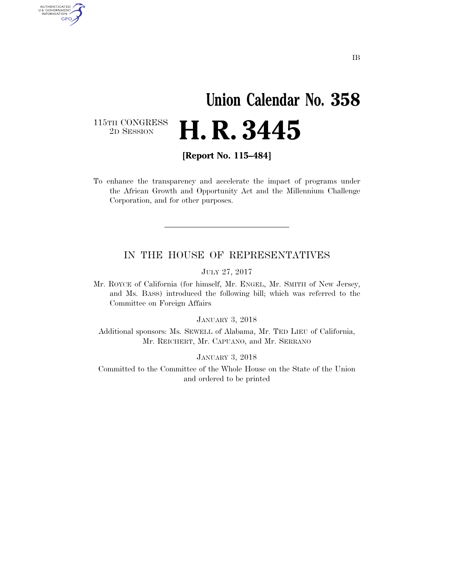# **Union Calendar No. 358**  2D SESSION **H. R. 3445**

115TH CONGRESS<br>2D SESSION

AUTHENTICATED<br>U.S. GOVERNMENT<br>INFORMATION GPO

**[Report No. 115–484]** 

To enhance the transparency and accelerate the impact of programs under the African Growth and Opportunity Act and the Millennium Challenge Corporation, and for other purposes.

## IN THE HOUSE OF REPRESENTATIVES

JULY 27, 2017

Mr. ROYCE of California (for himself, Mr. ENGEL, Mr. SMITH of New Jersey, and Ms. BASS) introduced the following bill; which was referred to the Committee on Foreign Affairs

JANUARY 3, 2018

Additional sponsors: Ms. SEWELL of Alabama, Mr. TED LIEU of California, Mr. REICHERT, Mr. CAPUANO, and Mr. SERRANO

JANUARY 3, 2018

Committed to the Committee of the Whole House on the State of the Union and ordered to be printed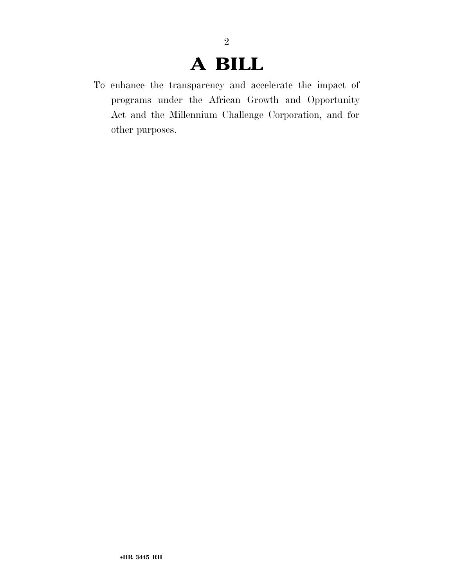# **A BILL**

2

To enhance the transparency and accelerate the impact of programs under the African Growth and Opportunity Act and the Millennium Challenge Corporation, and for other purposes.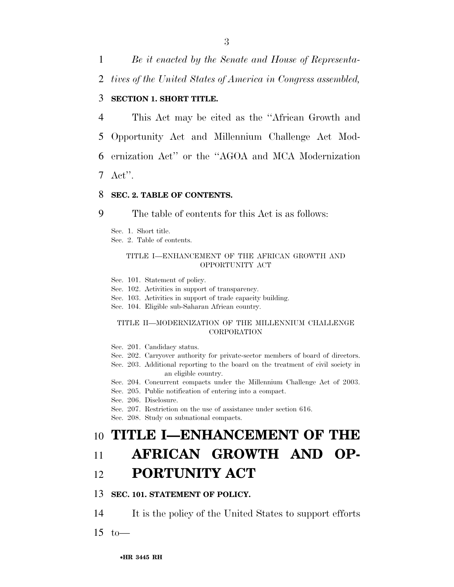1 *Be it enacted by the Senate and House of Representa-*

2 *tives of the United States of America in Congress assembled,* 

### 3 **SECTION 1. SHORT TITLE.**

 This Act may be cited as the ''African Growth and Opportunity Act and Millennium Challenge Act Mod- ernization Act'' or the ''AGOA and MCA Modernization 7 Act''.

### 8 **SEC. 2. TABLE OF CONTENTS.**

9 The table of contents for this Act is as follows:

Sec. 1. Short title.

Sec. 2. Table of contents.

#### TITLE I—ENHANCEMENT OF THE AFRICAN GROWTH AND OPPORTUNITY ACT

Sec. 101. Statement of policy.

Sec. 102. Activities in support of transparency.

Sec. 103. Activities in support of trade capacity building.

Sec. 104. Eligible sub-Saharan African country.

### TITLE II—MODERNIZATION OF THE MILLENNIUM CHALLENGE **CORPORATION**

Sec. 201. Candidacy status.

- Sec. 202. Carryover authority for private-sector members of board of directors.
- Sec. 203. Additional reporting to the board on the treatment of civil society in an eligible country.
- Sec. 204. Concurrent compacts under the Millennium Challenge Act of 2003.
- Sec. 205. Public notification of entering into a compact.

Sec. 206. Disclosure.

Sec. 207. Restriction on the use of assistance under section 616.

Sec. 208. Study on subnational compacts.

## 10 **TITLE I—ENHANCEMENT OF THE**

## 11 **AFRICAN GROWTH AND OP-**

## 12 **PORTUNITY ACT**

## 13 **SEC. 101. STATEMENT OF POLICY.**

14 It is the policy of the United States to support efforts

 $15$  to —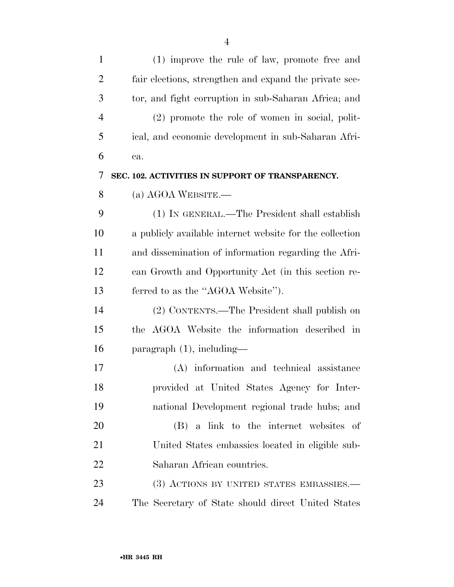| $\mathbf{1}$   | (1) improve the rule of law, promote free and            |
|----------------|----------------------------------------------------------|
| $\overline{2}$ | fair elections, strengthen and expand the private sec-   |
| 3              | tor, and fight corruption in sub-Saharan Africa; and     |
| $\overline{4}$ | $(2)$ promote the role of women in social, polit-        |
| 5              | ical, and economic development in sub-Saharan Afri-      |
| 6              | ca.                                                      |
| 7              | SEC. 102. ACTIVITIES IN SUPPORT OF TRANSPARENCY.         |
| 8              | (a) AGOA WEBSITE.—                                       |
| 9              | (1) IN GENERAL.—The President shall establish            |
| 10             | a publicly available internet website for the collection |
| 11             | and dissemination of information regarding the Afri-     |
| 12             | can Growth and Opportunity Act (in this section re-      |
| 13             | ferred to as the "AGOA Website").                        |
| 14             | (2) CONTENTS.—The President shall publish on             |
| 15             | the AGOA Website the information described in            |
| 16             | $\frac{1}{2}$ paragraph $(1)$ , including—               |
| 17             | (A) information and technical assistance                 |
| 18             | provided at United States Agency for Inter-              |
| 19             | national Development regional trade hubs; and            |
| 20             | (B) a link to the internet websites of                   |
| 21             | United States embassies located in eligible sub-         |
| 22             | Saharan African countries.                               |
| 23             | (3) ACTIONS BY UNITED STATES EMBASSIES.—                 |
| 24             | The Secretary of State should direct United States       |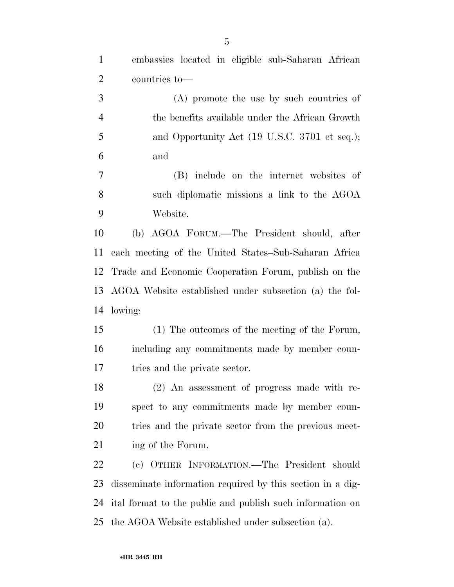| $\mathbf{1}$   | embassies located in eligible sub-Saharan African      |
|----------------|--------------------------------------------------------|
| $\overline{2}$ | countries to-                                          |
| 3              | (A) promote the use by such countries of               |
| $\overline{4}$ | the benefits available under the African Growth        |
| 5              | and Opportunity Act (19 U.S.C. 3701 et seq.);          |
| 6              | and                                                    |
| $\overline{7}$ | (B) include on the internet websites of                |
| 8              | such diplomatic missions a link to the AGOA            |
| 9              | Website.                                               |
| 10             | (b) AGOA FORUM.—The President should, after            |
| 11             | each meeting of the United States-Sub-Saharan Africa   |
| 12             | Trade and Economic Cooperation Forum, publish on the   |
| 13             | AGOA Website established under subsection (a) the fol- |
| 14             | lowing:                                                |
| 15             | (1) The outcomes of the meeting of the Forum,          |
| 16             | including any commitments made by member coun-         |

tries and the private sector.

 (2) An assessment of progress made with re- spect to any commitments made by member coun- tries and the private sector from the previous meet-21 ing of the Forum.

 (c) OTHER INFORMATION.—The President should disseminate information required by this section in a dig- ital format to the public and publish such information on the AGOA Website established under subsection (a).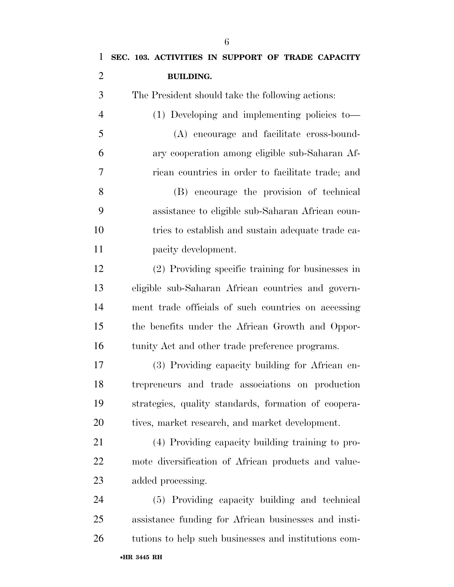| $\mathbf{1}$   | SEC. 103. ACTIVITIES IN SUPPORT OF TRADE CAPACITY     |
|----------------|-------------------------------------------------------|
| $\overline{2}$ | <b>BUILDING.</b>                                      |
| 3              | The President should take the following actions:      |
| $\overline{4}$ | (1) Developing and implementing policies to-          |
| 5              | (A) encourage and facilitate cross-bound-             |
| 6              | ary cooperation among eligible sub-Saharan Af-        |
| $\overline{7}$ | rican countries in order to facilitate trade; and     |
| 8              | (B) encourage the provision of technical              |
| 9              | assistance to eligible sub-Saharan African coun-      |
| 10             | tries to establish and sustain adequate trade ca-     |
| 11             | pacity development.                                   |
| 12             | (2) Providing specific training for businesses in     |
| 13             | eligible sub-Saharan African countries and govern-    |
| 14             | ment trade officials of such countries on accessing   |
| 15             | the benefits under the African Growth and Oppor-      |
| 16             | tunity Act and other trade preference programs.       |
| 17             | (3) Providing capacity building for African en-       |
| 18             | trepreneurs and trade associations on production      |
| 19             | strategies, quality standards, formation of coopera-  |
| 20             | tives, market research, and market development.       |
| 21             | (4) Providing capacity building training to pro-      |
| <u>22</u>      | mote diversification of African products and value-   |
| 23             | added processing.                                     |
| 24             | (5) Providing capacity building and technical         |
| 25             | assistance funding for African businesses and insti-  |
| 26             | tutions to help such businesses and institutions com- |
|                |                                                       |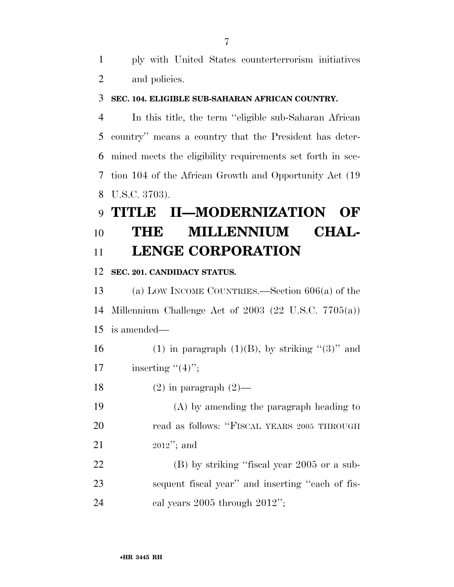ply with United States counterterrorism initiatives and policies.

## **SEC. 104. ELIGIBLE SUB-SAHARAN AFRICAN COUNTRY.**

 In this title, the term ''eligible sub-Saharan African country'' means a country that the President has deter- mined meets the eligibility requirements set forth in sec- tion 104 of the African Growth and Opportunity Act (19 U.S.C. 3703).

# **TITLE II—MODERNIZATION OF THE MILLENNIUM CHAL-LENGE CORPORATION**

## **SEC. 201. CANDIDACY STATUS.**

 (a) LOW INCOME COUNTRIES.—Section 606(a) of the Millennium Challenge Act of 2003 (22 U.S.C. 7705(a)) is amended— 16 (1) in paragraph  $(1)(B)$ , by striking " $(3)$ " and 17 inserting  $"(4)"$ ; 18 (2) in paragraph  $(2)$ — (A) by amending the paragraph heading to

 read as follows: ''FISCAL YEARS 2005 THROUGH 2012''; and

 (B) by striking ''fiscal year 2005 or a sub- sequent fiscal year'' and inserting ''each of fis-24 cal years 2005 through 2012";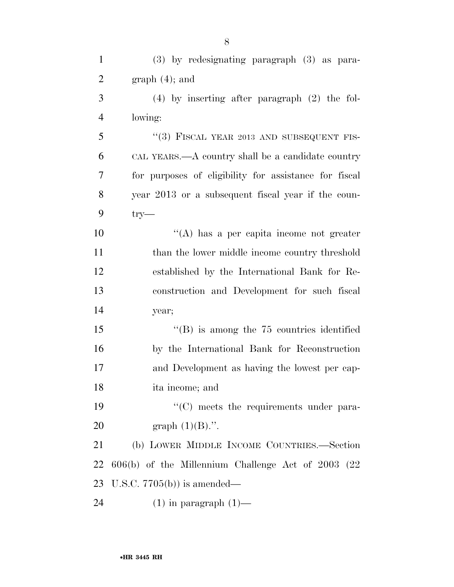| $\mathbf{1}$   | $(3)$ by redesignating paragraph $(3)$ as para-       |
|----------------|-------------------------------------------------------|
| $\overline{2}$ | $graph(4)$ ; and                                      |
| 3              | $(4)$ by inserting after paragraph $(2)$ the fol-     |
| $\overline{4}$ | lowing:                                               |
| 5              | "(3) FISCAL YEAR 2013 AND SUBSEQUENT FIS-             |
| 6              | CAL YEARS.—A country shall be a candidate country     |
| $\overline{7}$ | for purposes of eligibility for assistance for fiscal |
| 8              | year 2013 or a subsequent fiscal year if the coun-    |
| 9              | $try-$                                                |
| 10             | $\lq\lq$ has a per capita income not greater          |
| 11             | than the lower middle income country threshold        |
| 12             | established by the International Bank for Re-         |
| 13             | construction and Development for such fiscal          |
| 14             | year;                                                 |
| 15             | $\lq\lq$ (B) is among the 75 countries identified     |
| 16             | by the International Bank for Reconstruction          |
| 17             | and Development as having the lowest per cap-         |
| 18             | ita income; and                                       |
| 19             | $\cdot$ (C) meets the requirements under para-        |
| 20             | graph $(1)(B)$ .".                                    |
| 21             | (b) LOWER MIDDLE INCOME COUNTRIES.-Section            |
| 22             | $606(b)$ of the Millennium Challenge Act of 2003 (22) |
| 23             | U.S.C. $7705(b)$ is amended—                          |
| 24             | $(1)$ in paragraph $(1)$ —                            |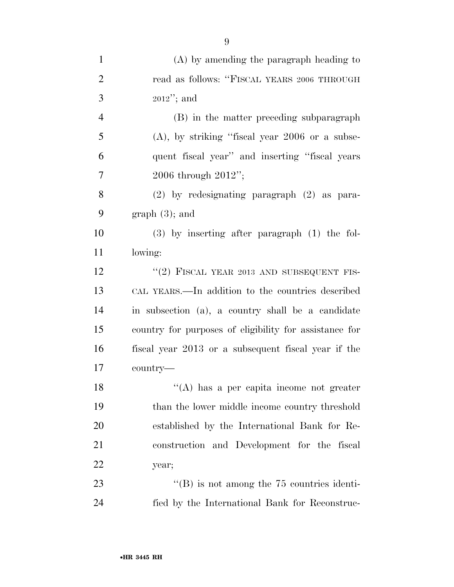| $\mathbf{1}$   | $(A)$ by amending the paragraph heading to             |
|----------------|--------------------------------------------------------|
| $\overline{2}$ | read as follows: "FISCAL YEARS 2006 THROUGH            |
| 3              | $2012$ "; and                                          |
| $\overline{4}$ | (B) in the matter preceding subparagraph               |
| 5              | $(A)$ , by striking "fiscal year 2006 or a subse-      |
| 6              | quent fiscal year" and inserting "fiscal years"        |
| 7              | 2006 through $2012$ ";                                 |
| 8              | $(2)$ by redesignating paragraph $(2)$ as para-        |
| 9              | $graph(3)$ ; and                                       |
| 10             | $(3)$ by inserting after paragraph $(1)$ the fol-      |
| 11             | lowing:                                                |
| 12             | "(2) FISCAL YEAR 2013 AND SUBSEQUENT FIS-              |
| 13             | CAL YEARS.—In addition to the countries described      |
| 14             | in subsection (a), a country shall be a candidate      |
| 15             | country for purposes of eligibility for assistance for |
| 16             | fiscal year 2013 or a subsequent fiscal year if the    |
| 17             | country—                                               |
| 18             | "(A) has a per capita income not greater               |
| 19             | than the lower middle income country threshold         |
| 20             | established by the International Bank for Re-          |
| 21             | construction and Development for the fiscal            |
| 22             | year;                                                  |
| 23             | $\lq\lq$ is not among the 75 countries identi-         |
| 24             | fied by the International Bank for Reconstruc-         |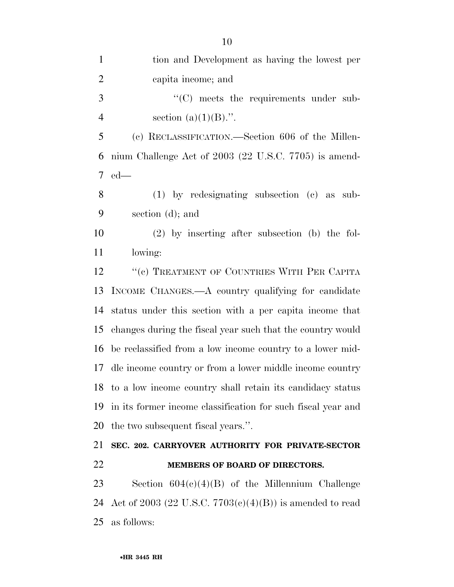| $\mathbf{1}$   | tion and Development as having the lowest per                |
|----------------|--------------------------------------------------------------|
| $\overline{2}$ | capita income; and                                           |
| 3              | $\cdot$ (C) meets the requirements under sub-                |
| $\overline{4}$ | section $(a)(1)(B)$ .".                                      |
| 5              | (c) RECLASSIFICATION.—Section 606 of the Millen-             |
| 6              | nium Challenge Act of 2003 (22 U.S.C. 7705) is amend-        |
| 7              | $ed$ —                                                       |
| 8              | $(1)$ by redesignating subsection $(c)$ as sub-              |
| 9              | section (d); and                                             |
| 10             | $(2)$ by inserting after subsection (b) the fol-             |
| 11             | lowing:                                                      |
| 12             | "(c) TREATMENT OF COUNTRIES WITH PER CAPITA                  |
| 13             | INCOME CHANGES.—A country qualifying for candidate           |
| 14             | status under this section with a per capita income that      |
| 15             | changes during the fiscal year such that the country would   |
| 16             | be reclassified from a low income country to a lower mid-    |
| 17             | dle income country or from a lower middle income country     |
|                | 18 to a low income country shall retain its candidacy status |
| 19             | in its former income classification for such fiscal year and |
| 20             | the two subsequent fiscal years.".                           |
| 21             | SEC. 202. CARRYOVER AUTHORITY FOR PRIVATE-SECTOR             |
| 22             | MEMBERS OF BOARD OF DIRECTORS.                               |
| 23             | Section $604(c)(4)(B)$ of the Millennium Challenge           |
| 24             | Act of 2003 (22 U.S.C. $7703(c)(4)(B)$ ) is amended to read  |
| 25             | as follows:                                                  |
|                |                                                              |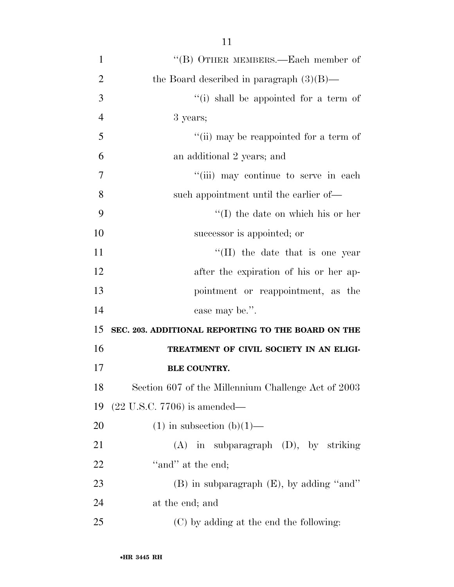| 1              | "(B) OTHER MEMBERS.—Each member of                  |
|----------------|-----------------------------------------------------|
| $\overline{2}$ | the Board described in paragraph $(3)(B)$ —         |
| 3              | "(i) shall be appointed for a term of               |
| $\overline{4}$ | 3 years;                                            |
| 5              | "(ii) may be reappointed for a term of              |
| 6              | an additional 2 years; and                          |
| $\overline{7}$ | "(iii) may continue to serve in each                |
| 8              | such appointment until the earlier of—              |
| 9              | $\lq\lq$ (I) the date on which his or her           |
| 10             | successor is appointed; or                          |
| 11             | $\lq\lq$ (II) the date that is one year             |
| 12             | after the expiration of his or her ap-              |
| 13             | pointment or reappointment, as the                  |
| 14             | case may be.".                                      |
| 15             | SEC. 203. ADDITIONAL REPORTING TO THE BOARD ON THE  |
| 16             | TREATMENT OF CIVIL SOCIETY IN AN ELIGI-             |
| 17             | <b>BLE COUNTRY.</b>                                 |
| 18             | Section 607 of the Millennium Challenge Act of 2003 |
| 19             | $(22 \text{ U.S.C. } 7706)$ is amended—             |
| 20             | $(1)$ in subsection $(b)(1)$ —                      |
| 21             | $(A)$ in subparagraph $(D)$ , by striking           |
| 22             | "and" at the end;                                   |
| 23             | $(B)$ in subparagraph $(E)$ , by adding "and"       |
| 24             | at the end; and                                     |
| 25             | (C) by adding at the end the following:             |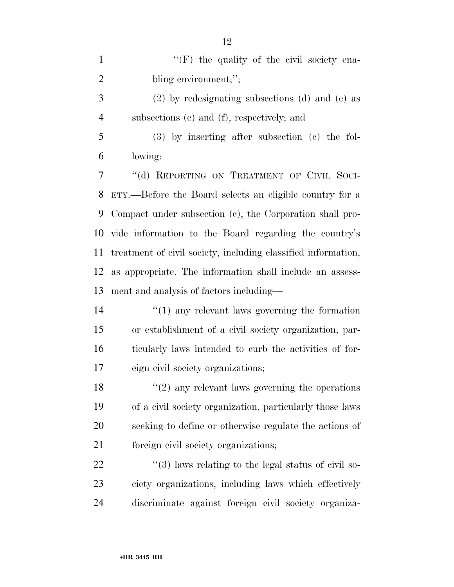1 ''(F) the quality of the civil society ena-2 bling environment;"; (2) by redesignating subsections (d) and (e) as subsections (e) and (f), respectively; and (3) by inserting after subsection (c) the fol- lowing: 7 "(d) REPORTING ON TREATMENT OF CIVIL SOCI- ETY.—Before the Board selects an eligible country for a Compact under subsection (c), the Corporation shall pro- vide information to the Board regarding the country's treatment of civil society, including classified information, as appropriate. The information shall include an assess- ment and analysis of factors including— ''(1) any relevant laws governing the formation or establishment of a civil society organization, par- ticularly laws intended to curb the activities of for- eign civil society organizations; 18 ''(2) any relevant laws governing the operations of a civil society organization, particularly those laws

seeking to define or otherwise regulate the actions of

foreign civil society organizations;

 $\frac{1}{22}$  ''(3) laws relating to the legal status of civil so- ciety organizations, including laws which effectively discriminate against foreign civil society organiza-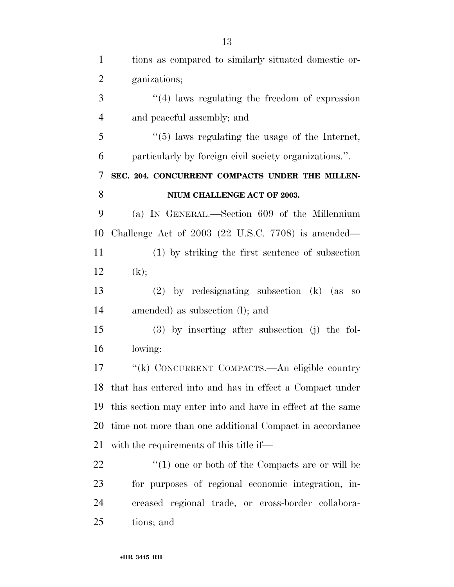| $\mathbf{1}$   | tions as compared to similarly situated domestic or-            |
|----------------|-----------------------------------------------------------------|
| $\overline{2}$ | ganizations;                                                    |
| 3              | $\cdot$ (4) laws regulating the freedom of expression           |
| $\overline{4}$ | and peaceful assembly; and                                      |
| 5              | $\cdot\cdot$ (5) laws regulating the usage of the Internet,     |
| 6              | particularly by foreign civil society organizations.".          |
| 7              | SEC. 204. CONCURRENT COMPACTS UNDER THE MILLEN-                 |
| 8              | NIUM CHALLENGE ACT OF 2003.                                     |
| 9              | (a) IN GENERAL.—Section 609 of the Millennium                   |
| 10             | Challenge Act of $2003$ $(22 \text{ U.S.C. } 7708)$ is amended— |
| 11             | (1) by striking the first sentence of subsection                |
| 12             | (k);                                                            |
| 13             | $(2)$ by redesignating subsection $(k)$ (as<br>SO               |
| 14             | amended) as subsection (1); and                                 |
| 15             | $(3)$ by inserting after subsection (j) the fol-                |
| 16             | lowing:                                                         |
| 17             | "(k) CONCURRENT COMPACTS.—An eligible country                   |
|                | 18 that has entered into and has in effect a Compact under      |
| 19             | this section may enter into and have in effect at the same      |
| 20             | time not more than one additional Compact in accordance         |
| 21             | with the requirements of this title if—                         |
| 22             | $\lq(1)$ one or both of the Compacts are or will be             |
| 23             | for purposes of regional economic integration, in-              |
| 24             | creased regional trade, or cross-border collabora-              |
| 25             | tions; and                                                      |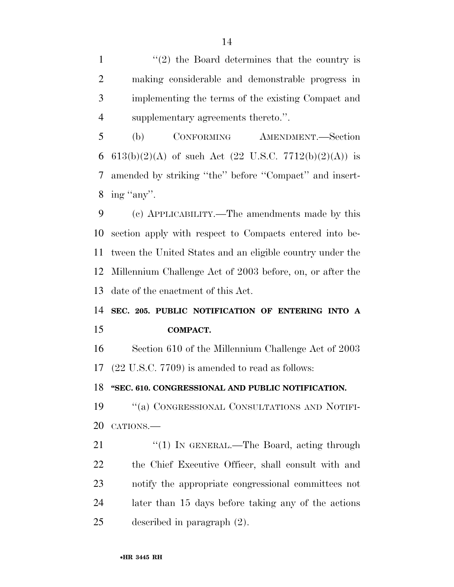$\frac{1}{2}$  the Board determines that the country is making considerable and demonstrable progress in implementing the terms of the existing Compact and supplementary agreements thereto.''.

 (b) CONFORMING AMENDMENT.—Section 6 613(b)(2)(A) of such Act (22 U.S.C. 7712(b)(2)(A)) is amended by striking ''the'' before ''Compact'' and insert-8 ing "any".

 (c) APPLICABILITY.—The amendments made by this section apply with respect to Compacts entered into be- tween the United States and an eligible country under the Millennium Challenge Act of 2003 before, on, or after the date of the enactment of this Act.

 **SEC. 205. PUBLIC NOTIFICATION OF ENTERING INTO A COMPACT.** 

 Section 610 of the Millennium Challenge Act of 2003 (22 U.S.C. 7709) is amended to read as follows:

**''SEC. 610. CONGRESSIONAL AND PUBLIC NOTIFICATION.** 

 ''(a) CONGRESSIONAL CONSULTATIONS AND NOTIFI-CATIONS.—

21 "(1) IN GENERAL.—The Board, acting through the Chief Executive Officer, shall consult with and notify the appropriate congressional committees not later than 15 days before taking any of the actions described in paragraph (2).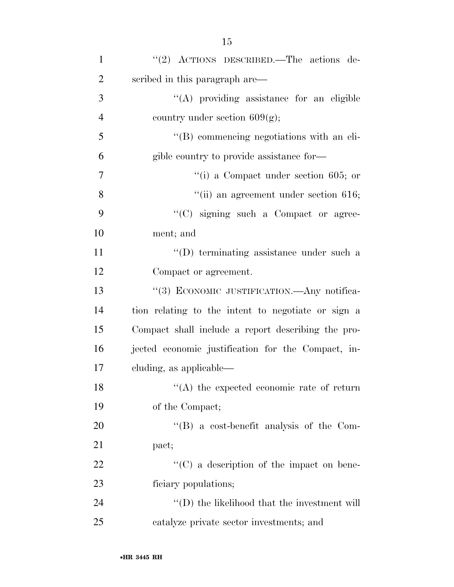| $\mathbf{1}$   | "(2) ACTIONS DESCRIBED.—The actions de-               |
|----------------|-------------------------------------------------------|
| $\overline{2}$ | scribed in this paragraph are—                        |
| 3              | "(A) providing assistance for an eligible             |
| $\overline{4}$ | country under section $609(g)$ ;                      |
| 5              | "(B) commencing negotiations with an eli-             |
| 6              | gible country to provide assistance for—              |
| $\tau$         | $\lq\lq$ (i) a Compact under section 605; or          |
| 8              | $"$ (ii) an agreement under section 616;              |
| 9              | "(C) signing such a Compact or agree-                 |
| 10             | ment; and                                             |
| 11             | "(D) terminating assistance under such a              |
| 12             | Compact or agreement.                                 |
| 13             | "(3) ECONOMIC JUSTIFICATION.—Any notifica-            |
| 14             | tion relating to the intent to negotiate or sign a    |
| 15             | Compact shall include a report describing the pro-    |
| 16             | jected economic justification for the Compact, in-    |
| 17             | cluding, as applicable—                               |
| 18             | $\mathcal{C}(A)$ the expected economic rate of return |
| 19             | of the Compact;                                       |
| 20             | $\lq\lq$ a cost-benefit analysis of the Com-          |
| 21             | pact;                                                 |
| 22             | $\lq\lq$ (C) a description of the impact on bene-     |
| 23             | ficiary populations;                                  |
| 24             | "(D) the likelihood that the investment will          |
| 25             | catalyze private sector investments; and              |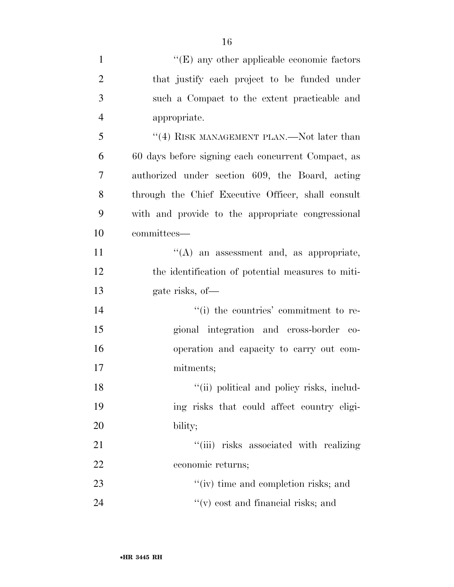| $\mathbf{1}$   | $\lq\lq$ (E) any other applicable economic factors |
|----------------|----------------------------------------------------|
| $\overline{2}$ | that justify each project to be funded under       |
| 3              | such a Compact to the extent practicable and       |
| $\overline{4}$ | appropriate.                                       |
| 5              | "(4) RISK MANAGEMENT PLAN.—Not later than          |
| 6              | 60 days before signing each concurrent Compact, as |
| 7              | authorized under section 609, the Board, acting    |
| 8              | through the Chief Executive Officer, shall consult |
| 9              | with and provide to the appropriate congressional  |
| 10             | committees—                                        |
| 11             | "(A) an assessment and, as appropriate,            |
| 12             | the identification of potential measures to miti-  |
| 13             | gate risks, of-                                    |
| 14             | "(i) the countries' commitment to re-              |
| 15             | gional integration and cross-border co-            |
| 16             | operation and capacity to carry out com-           |
| 17             | mitments;                                          |
| 18             | "(ii) political and policy risks, includ-          |
| 19             | ing risks that could affect country eligi-         |
| 20             | bility;                                            |
| 21             | "(iii) risks associated with realizing             |
| 22             | economic returns;                                  |
| 23             | "(iv) time and completion risks; and               |
| 24             | $f'(v)$ cost and financial risks; and              |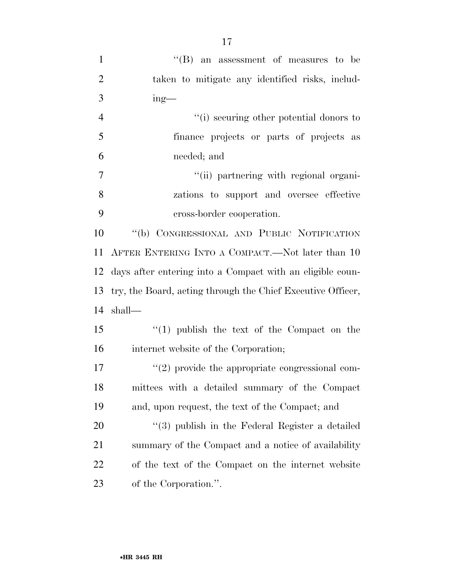| $\mathbf{1}$   | $\lq\lq (B)$ an assessment of measures to be                |
|----------------|-------------------------------------------------------------|
| $\overline{2}$ | taken to mitigate any identified risks, includ-             |
| 3              | $ing$ —                                                     |
| $\overline{4}$ | "(i) securing other potential donors to                     |
| 5              | finance projects or parts of projects as                    |
| 6              | needed; and                                                 |
| 7              | "(ii) partnering with regional organi-                      |
| 8              | zations to support and oversee effective                    |
| 9              | cross-border cooperation.                                   |
| 10             | "(b) CONGRESSIONAL AND PUBLIC NOTIFICATION                  |
| 11             | AFTER ENTERING INTO A COMPACT.—Not later than 10            |
| 12             | days after entering into a Compact with an eligible coun-   |
| 13             | try, the Board, acting through the Chief Executive Officer, |
| 14             | shall-                                                      |
| 15             | $(1)$ publish the text of the Compact on the                |
| 16             | internet website of the Corporation;                        |
| 17             | $\lq(2)$ provide the appropriate congressional com-         |
| 18             | mittees with a detailed summary of the Compact              |
| 19             | and, upon request, the text of the Compact; and             |
| 20             | "(3) publish in the Federal Register a detailed             |
| 21             | summary of the Compact and a notice of availability         |
| 22             | of the text of the Compact on the internet website          |
| 23             | of the Corporation.".                                       |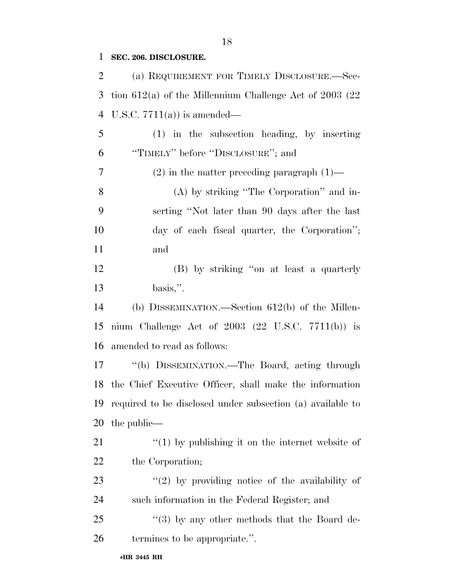**SEC. 206. DISCLOSURE.** 

•**HR 3445 RH** (a) REQUIREMENT FOR TIMELY DISCLOSURE.—Sec- tion 612(a) of the Millennium Challenge Act of 2003 (22 U.S.C. 7711(a)) is amended— (1) in the subsection heading, by inserting ''TIMELY'' before ''DISCLOSURE''; and (2) in the matter preceding paragraph (1)— (A) by striking ''The Corporation'' and in- serting ''Not later than 90 days after the last day of each fiscal quarter, the Corporation''; and (B) by striking ''on at least a quarterly basis,''. (b) DISSEMINATION.—Section 612(b) of the Millen- nium Challenge Act of 2003 (22 U.S.C. 7711(b)) is amended to read as follows: ''(b) DISSEMINATION.—The Board, acting through the Chief Executive Officer, shall make the information required to be disclosed under subsection (a) available to the public—  $\frac{1}{2}$  (1) by publishing it on the internet website of 22 the Corporation; 23 ''(2) by providing notice of the availability of such information in the Federal Register; and 25 "(3) by any other methods that the Board de-termines to be appropriate.''.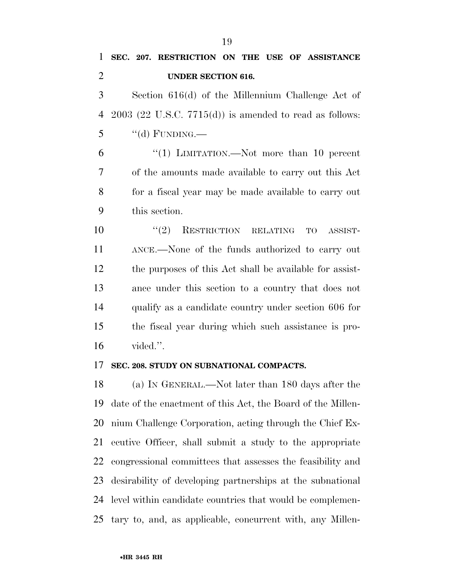## **SEC. 207. RESTRICTION ON THE USE OF ASSISTANCE UNDER SECTION 616.**

 Section 616(d) of the Millennium Challenge Act of 2003 (22 U.S.C. 7715(d)) is amended to read as follows: "(d) FUNDING.—

 ''(1) LIMITATION.—Not more than 10 percent of the amounts made available to carry out this Act for a fiscal year may be made available to carry out this section.

 ''(2) RESTRICTION RELATING TO ASSIST- ANCE.—None of the funds authorized to carry out the purposes of this Act shall be available for assist- ance under this section to a country that does not qualify as a candidate country under section 606 for the fiscal year during which such assistance is pro-vided.''.

## **SEC. 208. STUDY ON SUBNATIONAL COMPACTS.**

 (a) IN GENERAL.—Not later than 180 days after the date of the enactment of this Act, the Board of the Millen- nium Challenge Corporation, acting through the Chief Ex- ecutive Officer, shall submit a study to the appropriate congressional committees that assesses the feasibility and desirability of developing partnerships at the subnational level within candidate countries that would be complemen-tary to, and, as applicable, concurrent with, any Millen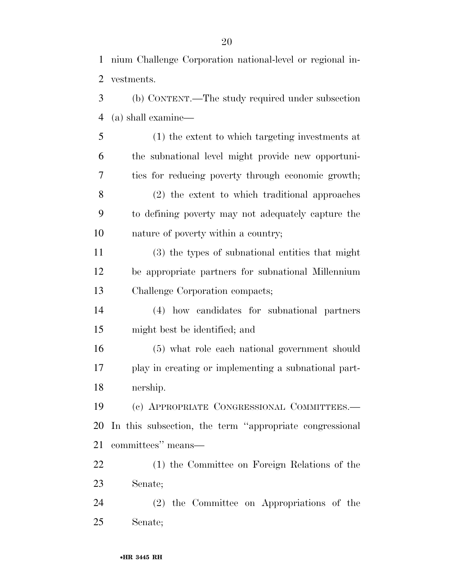(b) CONTENT.—The study required under subsection (a) shall examine—

 (1) the extent to which targeting investments at the subnational level might provide new opportuni- ties for reducing poverty through economic growth; (2) the extent to which traditional approaches to defining poverty may not adequately capture the nature of poverty within a country;

 (3) the types of subnational entities that might be appropriate partners for subnational Millennium Challenge Corporation compacts;

 (4) how candidates for subnational partners might best be identified; and

 (5) what role each national government should play in creating or implementing a subnational part-nership.

 (c) APPROPRIATE CONGRESSIONAL COMMITTEES.— In this subsection, the term ''appropriate congressional committees'' means—

 (1) the Committee on Foreign Relations of the Senate;

 (2) the Committee on Appropriations of the Senate;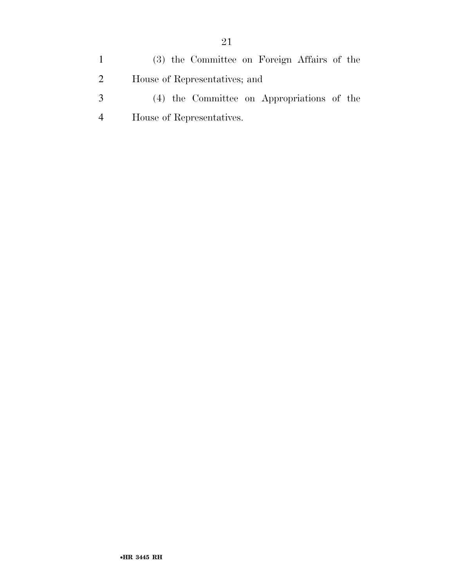(3) the Committee on Foreign Affairs of the House of Representatives; and (4) the Committee on Appropriations of the

House of Representatives.